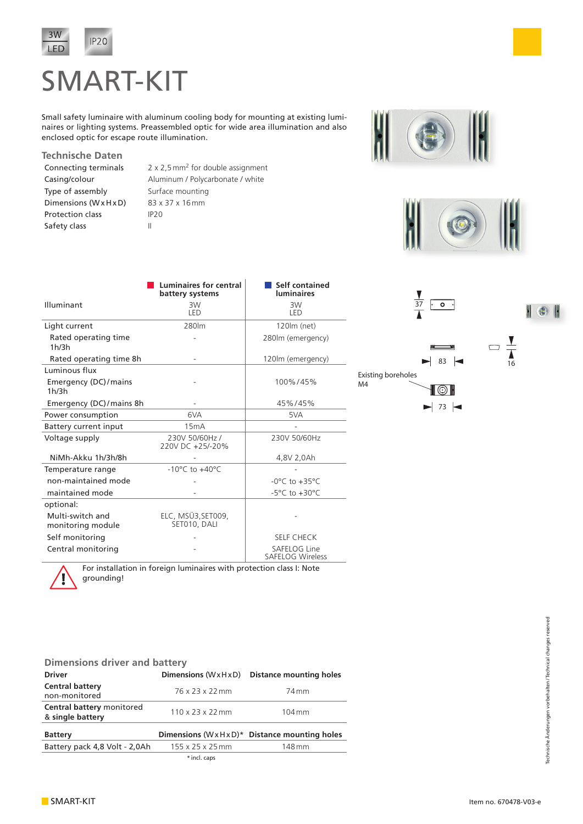

## SMART-KIT

Small safety luminaire with aluminum cooling body for mounting at existing luminaires or lighting systems. Preassembled optic for wide area illumination and also enclosed optic for escape route illumination.

**Technische Daten** Type of assembly Surface mounting Dimensions (Wx H x D) 83 x 37 x 16 mm Protection class IP20 Safety class II

Connecting terminals  $2 \times 2.5$  mm<sup>2</sup> for double assignment Casing/colour Aluminum / Polycarbonate / white





|                                       | Luminaires for central<br>battery systems | Self contained<br><b>luminaires</b><br>3W<br>I FD |  |  |  |  |
|---------------------------------------|-------------------------------------------|---------------------------------------------------|--|--|--|--|
| Illuminant                            | 3W<br>LED                                 |                                                   |  |  |  |  |
| Light current                         | 280lm                                     | 120m (net)                                        |  |  |  |  |
| Rated operating time<br>1h/3h         |                                           | 280lm (emergency)                                 |  |  |  |  |
| Rated operating time 8h               |                                           | 120lm (emergency)                                 |  |  |  |  |
| Luminous flux                         |                                           |                                                   |  |  |  |  |
| Emergency (DC)/mains<br>1h/3h         |                                           | 100%/45%                                          |  |  |  |  |
| Emergency (DC)/mains 8h               |                                           | 45%/45%                                           |  |  |  |  |
| Power consumption                     | 6VA                                       | 5VA                                               |  |  |  |  |
| Battery current input                 | 15mA                                      |                                                   |  |  |  |  |
| Voltage supply                        | 230V 50/60Hz /<br>220V DC +25/-20%        | 230V 50/60Hz                                      |  |  |  |  |
| NiMh-Akku 1h/3h/8h                    |                                           | 4,8V 2,0Ah                                        |  |  |  |  |
| Temperature range                     | $-10^{\circ}$ C to $+40^{\circ}$ C        |                                                   |  |  |  |  |
| non-maintained mode                   |                                           | $-0^{\circ}$ C to $+35^{\circ}$ C                 |  |  |  |  |
| maintained mode                       |                                           | $-5^{\circ}$ C to $+30^{\circ}$ C                 |  |  |  |  |
| optional:                             |                                           |                                                   |  |  |  |  |
| Multi-switch and<br>monitoring module | ELC, MSÜ3, SET009,<br>SET010, DALI        |                                                   |  |  |  |  |
| Self monitoring                       |                                           | <b>SELF CHECK</b>                                 |  |  |  |  |
| Central monitoring                    |                                           | SAFELOG Line<br><b>SAFELOG Wireless</b>           |  |  |  |  |



 $\blacktriangleright$  73

¶⊙∎

M4

For installation in foreign luminaires with protection class I: Note grounding!

| <b>Dimensions driver and battery</b>          |                                    |                                                |  |  |  |  |  |  |  |  |  |
|-----------------------------------------------|------------------------------------|------------------------------------------------|--|--|--|--|--|--|--|--|--|
| <b>Driver</b>                                 | Dimensions $(W \times H \times D)$ | <b>Distance mounting holes</b>                 |  |  |  |  |  |  |  |  |  |
| <b>Central battery</b><br>non-monitored       | 76 x 23 x 22 mm                    | 74 mm                                          |  |  |  |  |  |  |  |  |  |
| Central battery monitored<br>& single battery | $110 \times 23 \times 22$ mm       | $104 \,\mathrm{mm}$                            |  |  |  |  |  |  |  |  |  |
| <b>Battery</b>                                |                                    | Dimensions $(WxHxD)^*$ Distance mounting holes |  |  |  |  |  |  |  |  |  |
| Battery pack 4,8 Volt - 2,0Ah                 | $155 \times 25 \times 25$ mm       | 148 mm                                         |  |  |  |  |  |  |  |  |  |

\*incl. caps

Technische Änderungen vorbehalten/Technical changes reserved Technische Änderungen vorbehalten/Technical changes reserved